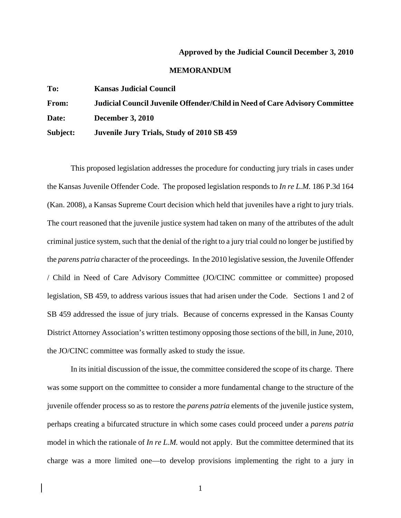## **Approved by the Judicial Council December 3, 2010**

## **MEMORANDUM**

| To:          | <b>Kansas Judicial Council</b>                                                     |
|--------------|------------------------------------------------------------------------------------|
| <b>From:</b> | <b>Judicial Council Juvenile Offender/Child in Need of Care Advisory Committee</b> |
| Date:        | <b>December 3, 2010</b>                                                            |
| Subject:     | Juvenile Jury Trials, Study of 2010 SB 459                                         |

This proposed legislation addresses the procedure for conducting jury trials in cases under the Kansas Juvenile Offender Code. The proposed legislation responds to *In re L.M.* 186 P.3d 164 (Kan. 2008), a Kansas Supreme Court decision which held that juveniles have a right to jury trials. The court reasoned that the juvenile justice system had taken on many of the attributes of the adult criminal justice system, such that the denial of the right to a jury trial could no longer be justified by the *parens patria* character of the proceedings. In the 2010 legislative session, the Juvenile Offender / Child in Need of Care Advisory Committee (JO/CINC committee or committee) proposed legislation, SB 459, to address various issues that had arisen under the Code. Sections 1 and 2 of SB 459 addressed the issue of jury trials. Because of concerns expressed in the Kansas County District Attorney Association's written testimony opposing those sections of the bill, in June, 2010, the JO/CINC committee was formally asked to study the issue.

In its initial discussion of the issue, the committee considered the scope of its charge. There was some support on the committee to consider a more fundamental change to the structure of the juvenile offender process so as to restore the *parens patria* elements of the juvenile justice system, perhaps creating a bifurcated structure in which some cases could proceed under a *parens patria* model in which the rationale of *In re L.M.* would not apply. But the committee determined that its charge was a more limited one—to develop provisions implementing the right to a jury in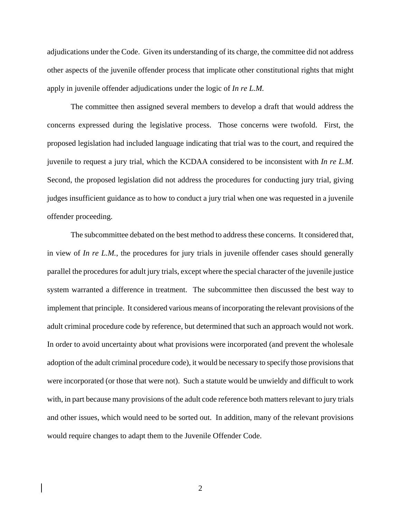adjudications under the Code. Given its understanding of its charge, the committee did not address other aspects of the juvenile offender process that implicate other constitutional rights that might apply in juvenile offender adjudications under the logic of *In re L.M.*

The committee then assigned several members to develop a draft that would address the concerns expressed during the legislative process. Those concerns were twofold. First, the proposed legislation had included language indicating that trial was to the court, and required the juvenile to request a jury trial, which the KCDAA considered to be inconsistent with *In re L.M.* Second, the proposed legislation did not address the procedures for conducting jury trial, giving judges insufficient guidance as to how to conduct a jury trial when one was requested in a juvenile offender proceeding.

The subcommittee debated on the best method to address these concerns. It considered that, in view of *In re L.M.*, the procedures for jury trials in juvenile offender cases should generally parallel the procedures for adult jury trials, except where the special character of the juvenile justice system warranted a difference in treatment. The subcommittee then discussed the best way to implement that principle. It considered various means of incorporating the relevant provisions of the adult criminal procedure code by reference, but determined that such an approach would not work. In order to avoid uncertainty about what provisions were incorporated (and prevent the wholesale adoption of the adult criminal procedure code), it would be necessary to specify those provisions that were incorporated (or those that were not). Such a statute would be unwieldy and difficult to work with, in part because many provisions of the adult code reference both matters relevant to jury trials and other issues, which would need to be sorted out. In addition, many of the relevant provisions would require changes to adapt them to the Juvenile Offender Code.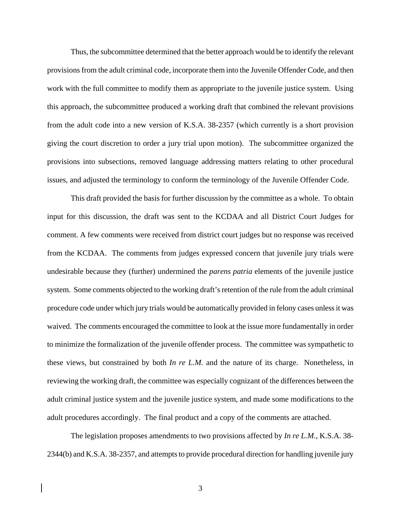Thus, the subcommittee determined that the better approach would be to identify the relevant provisions from the adult criminal code, incorporate them into the Juvenile Offender Code, and then work with the full committee to modify them as appropriate to the juvenile justice system. Using this approach, the subcommittee produced a working draft that combined the relevant provisions from the adult code into a new version of K.S.A. 38-2357 (which currently is a short provision giving the court discretion to order a jury trial upon motion). The subcommittee organized the provisions into subsections, removed language addressing matters relating to other procedural issues, and adjusted the terminology to conform the terminology of the Juvenile Offender Code.

This draft provided the basis for further discussion by the committee as a whole. To obtain input for this discussion, the draft was sent to the KCDAA and all District Court Judges for comment. A few comments were received from district court judges but no response was received from the KCDAA. The comments from judges expressed concern that juvenile jury trials were undesirable because they (further) undermined the *parens patria* elements of the juvenile justice system. Some comments objected to the working draft's retention of the rule from the adult criminal procedure code under which jury trials would be automatically provided in felony cases unless it was waived. The comments encouraged the committee to look at the issue more fundamentally in order to minimize the formalization of the juvenile offender process. The committee was sympathetic to these views, but constrained by both *In re L.M.* and the nature of its charge. Nonetheless, in reviewing the working draft, the committee was especially cognizant of the differences between the adult criminal justice system and the juvenile justice system, and made some modifications to the adult procedures accordingly. The final product and a copy of the comments are attached.

The legislation proposes amendments to two provisions affected by *In re L.M.*, K.S.A. 38- 2344(b) and K.S.A. 38-2357, and attempts to provide procedural direction for handling juvenile jury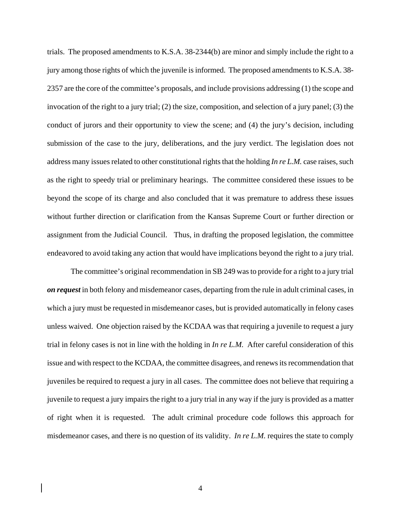trials. The proposed amendments to K.S.A. 38-2344(b) are minor and simply include the right to a jury among those rights of which the juvenile is informed. The proposed amendments to K.S.A. 38- 2357 are the core of the committee's proposals, and include provisions addressing (1) the scope and invocation of the right to a jury trial; (2) the size, composition, and selection of a jury panel; (3) the conduct of jurors and their opportunity to view the scene; and (4) the jury's decision, including submission of the case to the jury, deliberations, and the jury verdict. The legislation does not address many issues related to other constitutional rights that the holding *In re L.M.* case raises, such as the right to speedy trial or preliminary hearings. The committee considered these issues to be beyond the scope of its charge and also concluded that it was premature to address these issues without further direction or clarification from the Kansas Supreme Court or further direction or assignment from the Judicial Council. Thus, in drafting the proposed legislation, the committee endeavored to avoid taking any action that would have implications beyond the right to a jury trial.

The committee's original recommendation in SB 249 was to provide for a right to a jury trial *on request* in both felony and misdemeanor cases, departing from the rule in adult criminal cases, in which a jury must be requested in misdemeanor cases, but is provided automatically in felony cases unless waived. One objection raised by the KCDAA was that requiring a juvenile to request a jury trial in felony cases is not in line with the holding in *In re L.M.* After careful consideration of this issue and with respect to the KCDAA, the committee disagrees, and renews its recommendation that juveniles be required to request a jury in all cases. The committee does not believe that requiring a juvenile to request a jury impairs the right to a jury trial in any way if the jury is provided as a matter of right when it is requested. The adult criminal procedure code follows this approach for misdemeanor cases, and there is no question of its validity. *In re L.M.* requires the state to comply